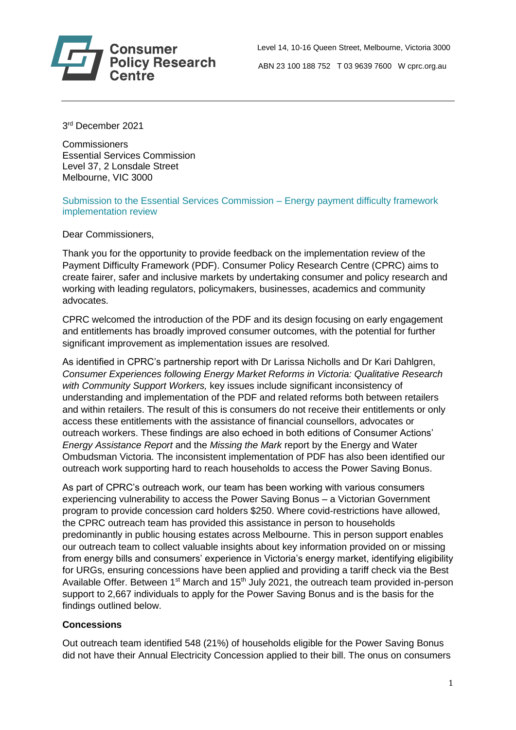

 Level 14, 10-16 Queen Street, Melbourne, Victoria 3000 **Policy Research** ABN 23 100 188 752 T 03 9639 7600 W cprc.org.au

3 rd December 2021

**Commissioners** Essential Services Commission Level 37, 2 Lonsdale Street Melbourne, VIC 3000

Submission to the Essential Services Commission – Energy payment difficulty framework implementation review

Dear Commissioners,

Thank you for the opportunity to provide feedback on the implementation review of the Payment Difficulty Framework (PDF). Consumer Policy Research Centre (CPRC) aims to create fairer, safer and inclusive markets by undertaking consumer and policy research and working with leading regulators, policymakers, businesses, academics and community advocates.

CPRC welcomed the introduction of the PDF and its design focusing on early engagement and entitlements has broadly improved consumer outcomes, with the potential for further significant improvement as implementation issues are resolved.

As identified in CPRC's partnership report with Dr Larissa Nicholls and Dr Kari Dahlgren, *Consumer Experiences following Energy Market Reforms in Victoria: Qualitative Research with Community Support Workers,* key issues include significant inconsistency of understanding and implementation of the PDF and related reforms both between retailers and within retailers. The result of this is consumers do not receive their entitlements or only access these entitlements with the assistance of financial counsellors, advocates or outreach workers. These findings are also echoed in both editions of Consumer Actions' *Energy Assistance Report* and the *Missing the Mark* report by the Energy and Water Ombudsman Victoria. The inconsistent implementation of PDF has also been identified our outreach work supporting hard to reach households to access the Power Saving Bonus.

As part of CPRC's outreach work, our team has been working with various consumers experiencing vulnerability to access the Power Saving Bonus – a Victorian Government program to provide concession card holders \$250. Where covid-restrictions have allowed, the CPRC outreach team has provided this assistance in person to households predominantly in public housing estates across Melbourne. This in person support enables our outreach team to collect valuable insights about key information provided on or missing from energy bills and consumers' experience in Victoria's energy market, identifying eligibility for URGs, ensuring concessions have been applied and providing a tariff check via the Best Available Offer. Between 1<sup>st</sup> March and 15<sup>th</sup> July 2021, the outreach team provided in-person support to 2,667 individuals to apply for the Power Saving Bonus and is the basis for the findings outlined below.

# **Concessions**

Out outreach team identified 548 (21%) of households eligible for the Power Saving Bonus did not have their Annual Electricity Concession applied to their bill. The onus on consumers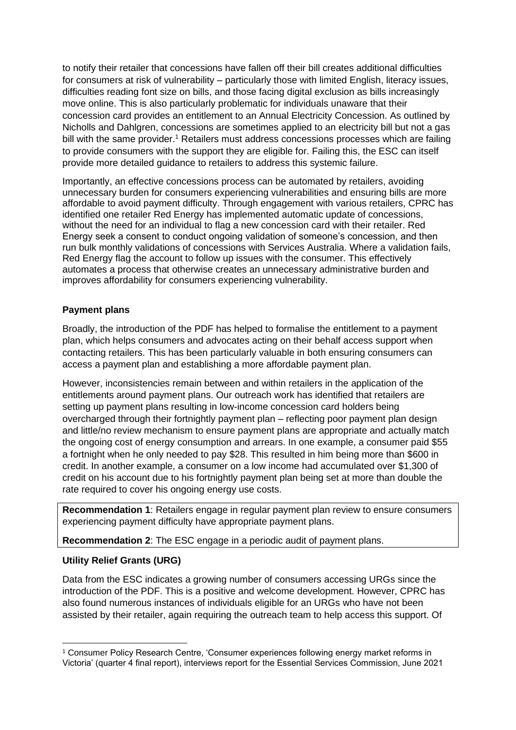to notify their retailer that concessions have fallen off their bill creates additional difficulties for consumers at risk of vulnerability – particularly those with limited English, literacy issues, difficulties reading font size on bills, and those facing digital exclusion as bills increasingly move online. This is also particularly problematic for individuals unaware that their concession card provides an entitlement to an Annual Electricity Concession. As outlined by Nicholls and Dahlgren, concessions are sometimes applied to an electricity bill but not a gas bill with the same provider.<sup>1</sup> Retailers must address concessions processes which are failing to provide consumers with the support they are eligible for. Failing this, the ESC can itself provide more detailed guidance to retailers to address this systemic failure.

Importantly, an effective concessions process can be automated by retailers, avoiding unnecessary burden for consumers experiencing vulnerabilities and ensuring bills are more affordable to avoid payment difficulty. Through engagement with various retailers, CPRC has identified one retailer Red Energy has implemented automatic update of concessions, without the need for an individual to flag a new concession card with their retailer. Red Energy seek a consent to conduct ongoing validation of someone's concession, and then run bulk monthly validations of concessions with Services Australia. Where a validation fails, Red Energy flag the account to follow up issues with the consumer. This effectively automates a process that otherwise creates an unnecessary administrative burden and improves affordability for consumers experiencing vulnerability.

# **Payment plans**

Broadly, the introduction of the PDF has helped to formalise the entitlement to a payment plan, which helps consumers and advocates acting on their behalf access support when contacting retailers. This has been particularly valuable in both ensuring consumers can access a payment plan and establishing a more affordable payment plan.

However, inconsistencies remain between and within retailers in the application of the entitlements around payment plans. Our outreach work has identified that retailers are setting up payment plans resulting in low-income concession card holders being overcharged through their fortnightly payment plan – reflecting poor payment plan design and little/no review mechanism to ensure payment plans are appropriate and actually match the ongoing cost of energy consumption and arrears. In one example, a consumer paid \$55 a fortnight when he only needed to pay \$28. This resulted in him being more than \$600 in credit. In another example, a consumer on a low income had accumulated over \$1,300 of credit on his account due to his fortnightly payment plan being set at more than double the rate required to cover his ongoing energy use costs.

**Recommendation 1**: Retailers engage in regular payment plan review to ensure consumers experiencing payment difficulty have appropriate payment plans.

**Recommendation 2**: The ESC engage in a periodic audit of payment plans.

# **Utility Relief Grants (URG)**

Data from the ESC indicates a growing number of consumers accessing URGs since the introduction of the PDF. This is a positive and welcome development. However, CPRC has also found numerous instances of individuals eligible for an URGs who have not been assisted by their retailer, again requiring the outreach team to help access this support. Of

<sup>1</sup> Consumer Policy Research Centre, 'Consumer experiences following energy market reforms in Victoria' (quarter 4 final report), interviews report for the Essential Services Commission, June 2021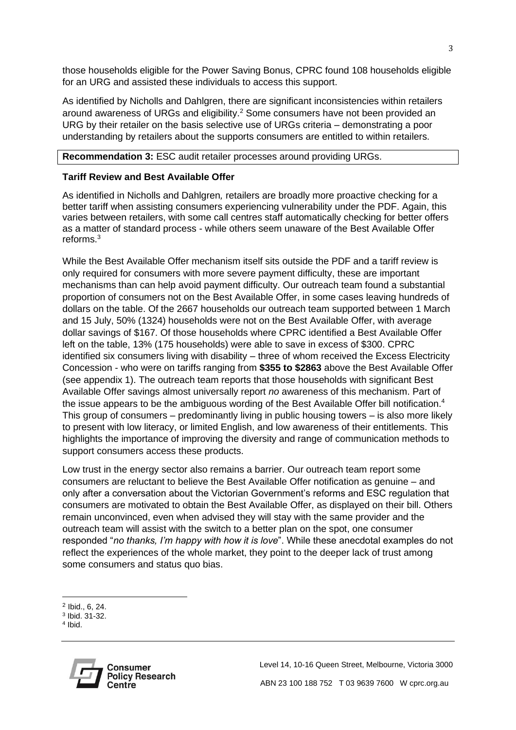those households eligible for the Power Saving Bonus, CPRC found 108 households eligible for an URG and assisted these individuals to access this support.

As identified by Nicholls and Dahlgren, there are significant inconsistencies within retailers around awareness of URGs and eligibility.<sup>2</sup> Some consumers have not been provided an URG by their retailer on the basis selective use of URGs criteria – demonstrating a poor understanding by retailers about the supports consumers are entitled to within retailers.

#### **Recommendation 3:** ESC audit retailer processes around providing URGs.

### **Tariff Review and Best Available Offer**

As identified in Nicholls and Dahlgren*,* retailers are broadly more proactive checking for a better tariff when assisting consumers experiencing vulnerability under the PDF. Again, this varies between retailers, with some call centres staff automatically checking for better offers as a matter of standard process - while others seem unaware of the Best Available Offer reforms<sup>3</sup>

While the Best Available Offer mechanism itself sits outside the PDF and a tariff review is only required for consumers with more severe payment difficulty, these are important mechanisms than can help avoid payment difficulty. Our outreach team found a substantial proportion of consumers not on the Best Available Offer, in some cases leaving hundreds of dollars on the table. Of the 2667 households our outreach team supported between 1 March and 15 July, 50% (1324) households were not on the Best Available Offer, with average dollar savings of \$167. Of those households where CPRC identified a Best Available Offer left on the table, 13% (175 households) were able to save in excess of \$300. CPRC identified six consumers living with disability – three of whom received the Excess Electricity Concession - who were on tariffs ranging from **\$355 to \$2863** above the Best Available Offer (see appendix 1). The outreach team reports that those households with significant Best Available Offer savings almost universally report *no* awareness of this mechanism. Part of the issue appears to be the ambiguous wording of the Best Available Offer bill notification.<sup>4</sup> This group of consumers – predominantly living in public housing towers – is also more likely to present with low literacy, or limited English, and low awareness of their entitlements. This highlights the importance of improving the diversity and range of communication methods to support consumers access these products.

Low trust in the energy sector also remains a barrier. Our outreach team report some consumers are reluctant to believe the Best Available Offer notification as genuine – and only after a conversation about the Victorian Government's reforms and ESC regulation that consumers are motivated to obtain the Best Available Offer, as displayed on their bill. Others remain unconvinced, even when advised they will stay with the same provider and the outreach team will assist with the switch to a better plan on the spot, one consumer responded "*no thanks, I'm happy with how it is love*". While these anecdotal examples do not reflect the experiences of the whole market, they point to the deeper lack of trust among some consumers and status quo bias.

<sup>4</sup> Ibid.



 $2$  Ibid., 6, 24.

<sup>3</sup> Ibid. 31-32.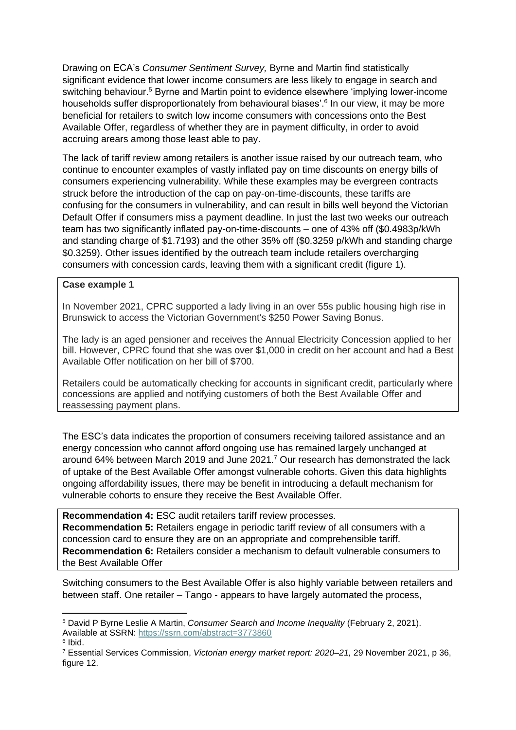Drawing on ECA's *Consumer Sentiment Survey,* Byrne and Martin find statistically significant evidence that lower income consumers are less likely to engage in search and switching behaviour.<sup>5</sup> Byrne and Martin point to evidence elsewhere 'implying lower-income households suffer disproportionately from behavioural biases'.<sup>6</sup> In our view, it may be more beneficial for retailers to switch low income consumers with concessions onto the Best Available Offer, regardless of whether they are in payment difficulty, in order to avoid accruing arears among those least able to pay.

The lack of tariff review among retailers is another issue raised by our outreach team, who continue to encounter examples of vastly inflated pay on time discounts on energy bills of consumers experiencing vulnerability. While these examples may be evergreen contracts struck before the introduction of the cap on pay-on-time-discounts, these tariffs are confusing for the consumers in vulnerability, and can result in bills well beyond the Victorian Default Offer if consumers miss a payment deadline. In just the last two weeks our outreach team has two significantly inflated pay-on-time-discounts – one of 43% off (\$0.4983p/kWh and standing charge of \$1.7193) and the other 35% off (\$0.3259 p/kWh and standing charge \$0.3259). Other issues identified by the outreach team include retailers overcharging consumers with concession cards, leaving them with a significant credit (figure 1).

#### **Case example 1**

In November 2021, CPRC supported a lady living in an over 55s public housing high rise in Brunswick to access the Victorian Government's \$250 Power Saving Bonus.

The lady is an aged pensioner and receives the Annual Electricity Concession applied to her bill. However, CPRC found that she was over \$1,000 in credit on her account and had a Best Available Offer notification on her bill of \$700.

Retailers could be automatically checking for accounts in significant credit, particularly where concessions are applied and notifying customers of both the Best Available Offer and reassessing payment plans.

The ESC's data indicates the proportion of consumers receiving tailored assistance and an energy concession who cannot afford ongoing use has remained largely unchanged at around 64% between March 2019 and June 2021. <sup>7</sup> Our research has demonstrated the lack of uptake of the Best Available Offer amongst vulnerable cohorts. Given this data highlights ongoing affordability issues, there may be benefit in introducing a default mechanism for vulnerable cohorts to ensure they receive the Best Available Offer.

**Recommendation 4:** ESC audit retailers tariff review processes. **Recommendation 5:** Retailers engage in periodic tariff review of all consumers with a concession card to ensure they are on an appropriate and comprehensible tariff. **Recommendation 6:** Retailers consider a mechanism to default vulnerable consumers to the Best Available Offer

Switching consumers to the Best Available Offer is also highly variable between retailers and between staff. One retailer – Tango - appears to have largely automated the process,

<sup>5</sup> David P Byrne Leslie A Martin, *Consumer Search and Income Inequality* (February 2, 2021). Available at SSRN:<https://ssrn.com/abstract=3773860> 6 Ibid.

<sup>7</sup> Essential Services Commission, *Victorian energy market report: 2020–21,* 29 November 2021, p 36, figure 12.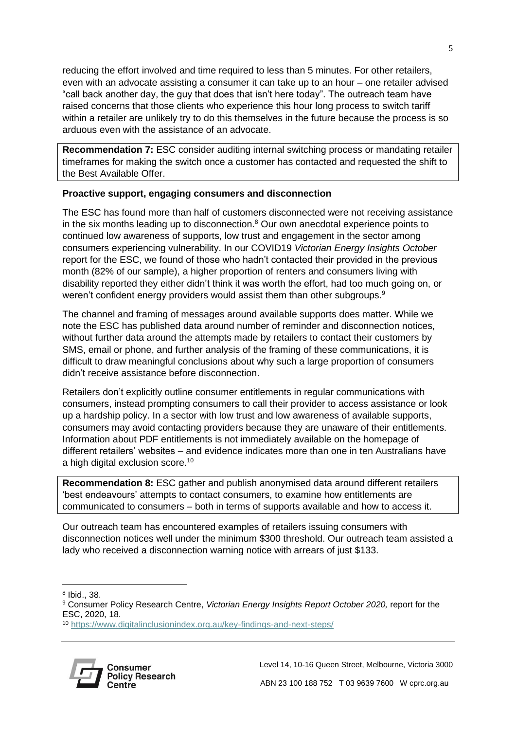reducing the effort involved and time required to less than 5 minutes. For other retailers, even with an advocate assisting a consumer it can take up to an hour – one retailer advised "call back another day, the guy that does that isn't here today". The outreach team have raised concerns that those clients who experience this hour long process to switch tariff within a retailer are unlikely try to do this themselves in the future because the process is so arduous even with the assistance of an advocate.

**Recommendation 7:** ESC consider auditing internal switching process or mandating retailer timeframes for making the switch once a customer has contacted and requested the shift to the Best Available Offer.

# **Proactive support, engaging consumers and disconnection**

The ESC has found more than half of customers disconnected were not receiving assistance in the six months leading up to disconnection. <sup>8</sup> Our own anecdotal experience points to continued low awareness of supports, low trust and engagement in the sector among consumers experiencing vulnerability. In our COVID19 *Victorian Energy Insights October* report for the ESC, we found of those who hadn't contacted their provided in the previous month (82% of our sample), a higher proportion of renters and consumers living with disability reported they either didn't think it was worth the effort, had too much going on, or weren't confident energy providers would assist them than other subgroups.<sup>9</sup>

The channel and framing of messages around available supports does matter. While we note the ESC has published data around number of reminder and disconnection notices, without further data around the attempts made by retailers to contact their customers by SMS, email or phone, and further analysis of the framing of these communications, it is difficult to draw meaningful conclusions about why such a large proportion of consumers didn't receive assistance before disconnection.

Retailers don't explicitly outline consumer entitlements in regular communications with consumers, instead prompting consumers to call their provider to access assistance or look up a hardship policy. In a sector with low trust and low awareness of available supports, consumers may avoid contacting providers because they are unaware of their entitlements. Information about PDF entitlements is not immediately available on the homepage of different retailers' websites – and evidence indicates more than one in ten Australians have a high digital exclusion score.<sup>10</sup>

**Recommendation 8:** ESC gather and publish anonymised data around different retailers 'best endeavours' attempts to contact consumers, to examine how entitlements are communicated to consumers – both in terms of supports available and how to access it.

Our outreach team has encountered examples of retailers issuing consumers with disconnection notices well under the minimum \$300 threshold. Our outreach team assisted a lady who received a disconnection warning notice with arrears of just \$133.

8 Ibid., 38.

<sup>10</sup> <https://www.digitalinclusionindex.org.au/key-findings-and-next-steps/>



<sup>9</sup> Consumer Policy Research Centre, *Victorian Energy Insights Report October 2020,* report for the ESC, 2020, 18.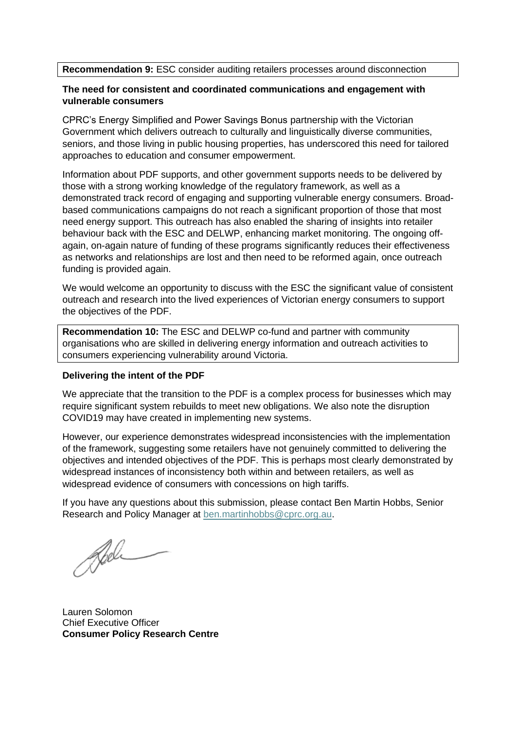**Recommendation 9:** ESC consider auditing retailers processes around disconnection

# **The need for consistent and coordinated communications and engagement with vulnerable consumers**

CPRC's Energy Simplified and Power Savings Bonus partnership with the Victorian Government which delivers outreach to culturally and linguistically diverse communities, seniors, and those living in public housing properties, has underscored this need for tailored approaches to education and consumer empowerment.

Information about PDF supports, and other government supports needs to be delivered by those with a strong working knowledge of the regulatory framework, as well as a demonstrated track record of engaging and supporting vulnerable energy consumers. Broadbased communications campaigns do not reach a significant proportion of those that most need energy support. This outreach has also enabled the sharing of insights into retailer behaviour back with the ESC and DELWP, enhancing market monitoring. The ongoing offagain, on-again nature of funding of these programs significantly reduces their effectiveness as networks and relationships are lost and then need to be reformed again, once outreach funding is provided again.

We would welcome an opportunity to discuss with the ESC the significant value of consistent outreach and research into the lived experiences of Victorian energy consumers to support the objectives of the PDF.

**Recommendation 10:** The ESC and DELWP co-fund and partner with community organisations who are skilled in delivering energy information and outreach activities to consumers experiencing vulnerability around Victoria.

# **Delivering the intent of the PDF**

We appreciate that the transition to the PDF is a complex process for businesses which may require significant system rebuilds to meet new obligations. We also note the disruption COVID19 may have created in implementing new systems.

However, our experience demonstrates widespread inconsistencies with the implementation of the framework, suggesting some retailers have not genuinely committed to delivering the objectives and intended objectives of the PDF. This is perhaps most clearly demonstrated by widespread instances of inconsistency both within and between retailers, as well as widespread evidence of consumers with concessions on high tariffs.

If you have any questions about this submission, please contact Ben Martin Hobbs, Senior Research and Policy Manager at [ben.martinhobbs@cprc.org.au.](mailto:ben.martinhobbs@cprc.org.au)

Bel

Lauren Solomon Chief Executive Officer **Consumer Policy Research Centre**